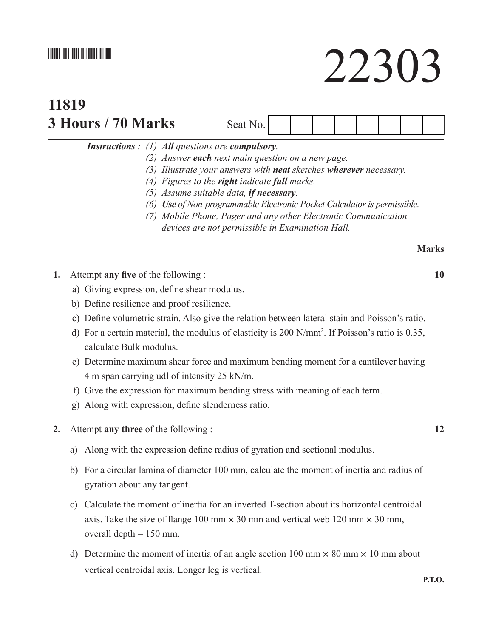## \*22303\*

# **11819 3 Hours / 70 Marks** Seat No.



 *Instructions : (1) All questions are compulsory.* 

- *(2) Answer each next main question on a new page.*
- *(3) Illustrate your answers with neat sketches wherever necessary.*
- *(4) Figures to the right indicate full marks.*
- *(5) Assume suitable data, if necessary.*
- *(6) Use of Non-programmable Electronic Pocket Calculator is permissible.*
- *(7) Mobile Phone, Pager and any other Electronic Communication devices are not permissible in Examination Hall.*

### **Marks**

- **1.** Attempt **any five** of the following : **10**
	- a) Giving expression, define shear modulus.
	- b) Define resilience and proof resilience.
	- c) Define volumetric strain. Also give the relation between lateral stain and Poisson's ratio.
- d) For a certain material, the modulus of elasticity is  $200 \text{ N/mm}^2$ . If Poisson's ratio is 0.35, calculate Bulk modulus.
	- e) Determine maximum shear force and maximum bending moment for a cantilever having 4 m span carrying udl of intensity 25 kN/m.
	- f) Give the expression for maximum bending stress with meaning of each term.
	- g) Along with expression, define slenderness ratio.
- **2.** Attempt **any three** of the following : **12**
	- a) Along with the expression define radius of gyration and sectional modulus.
	- b) For a circular lamina of diameter 100 mm, calculate the moment of inertia and radius of gyration about any tangent.
	- c) Calculate the moment of inertia for an inverted T-section about its horizontal centroidal axis. Take the size of flange 100 mm  $\times$  30 mm and vertical web 120 mm  $\times$  30 mm, overall depth  $= 150$  mm.
	- d) Determine the moment of inertia of an angle section 100 mm  $\times$  80 mm  $\times$  10 mm about vertical centroidal axis. Longer leg is vertical.

**P.T.O.**

# 22303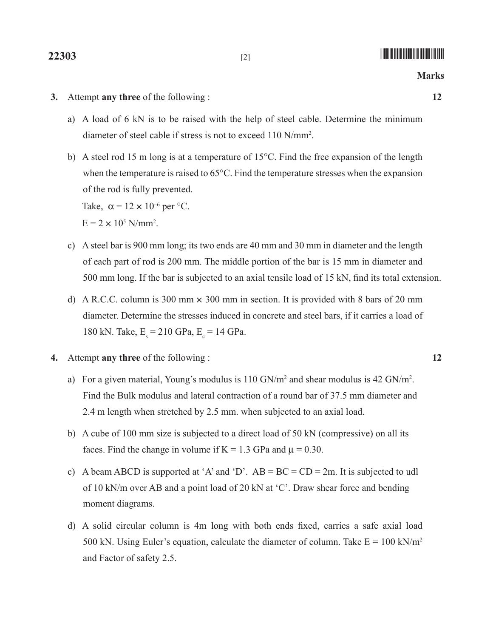- a) A load of 6 kN is to be raised with the help of steel cable. Determine the minimum diameter of steel cable if stress is not to exceed 110 N/mm<sup>2</sup> .
- b) A steel rod 15 m long is at a temperature of  $15^{\circ}$ C. Find the free expansion of the length when the temperature is raised to  $65^{\circ}$ C. Find the temperature stresses when the expansion of the rod is fully prevented. Take,  $\alpha = 12 \times 10^{-6}$  per °C.

 $E = 2 \times 10^5$  N/mm<sup>2</sup>.

- c) A steel bar is 900 mm long; its two ends are 40 mm and 30 mm in diameter and the length of each part of rod is 200 mm. The middle portion of the bar is 15 mm in diameter and 500 mm long. If the bar is subjected to an axial tensile load of 15 kN, find its total extension.
- d) A R.C.C. column is 300 mm  $\times$  300 mm in section. It is provided with 8 bars of 20 mm diameter. Determine the stresses induced in concrete and steel bars, if it carries a load of 180 kN. Take,  $E_s = 210 \text{ GPa}, E_s = 14 \text{ GPa}.$
- **4.** Attempt **any three** of the following : **12**
- a) For a given material, Young's modulus is  $110$  GN/m<sup>2</sup> and shear modulus is  $42$  GN/m<sup>2</sup>. Find the Bulk modulus and lateral contraction of a round bar of 37.5 mm diameter and 2.4 m length when stretched by 2.5 mm. when subjected to an axial load.
	- b) A cube of 100 mm size is subjected to a direct load of 50 kN (compressive) on all its faces. Find the change in volume if  $K = 1.3$  GPa and  $\mu = 0.30$ .
	- c) A beam ABCD is supported at 'A' and 'D'.  $AB = BC = CD = 2m$ . It is subjected to udl of 10 kN/m over AB and a point load of 20 kN at 'C'. Draw shear force and bending moment diagrams.
	- d) A solid circular column is 4m long with both ends fixed, carries a safe axial load 500 kN. Using Euler's equation, calculate the diameter of column. Take  $E = 100$  kN/m<sup>2</sup> and Factor of safety 2.5.

**22303** [2] *p* **100 [2]** *p 100 [2] <i>p p p 100 <i>p p p p p p p p p p p p p p p p p p p p p p p p p p*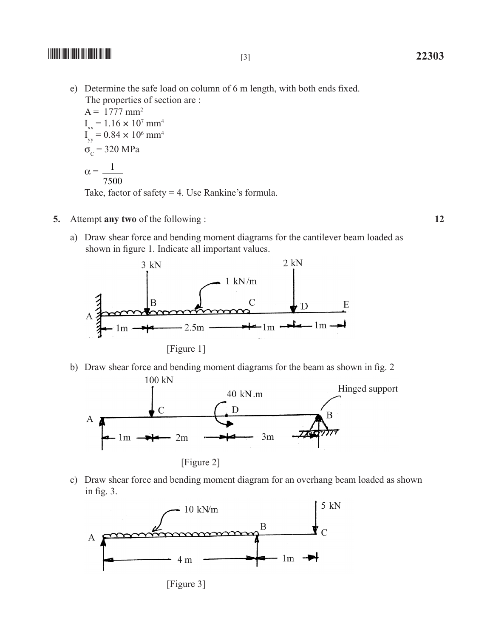$\frac{1}{22303}$  **22303** 

e) Determine the safe load on column of 6 m length, with both ends fixed. The properties of section are :

 $A = 1777$  mm<sup>2</sup>  $I_{xx} = 1.16 \times 10^7$  mm<sup>4</sup>  $I_{yy} = 0.84 \times 10^6$  mm<sup>4</sup>  $\sigma_c$  = 320 MPa  $\alpha = \frac{1}{\alpha}$ 7500 Take, factor of safety  $=$  4. Use Rankine's formula.

- 
- a) Draw shear force and bending moment diagrams for the cantilever beam loaded as shown in figure 1. Indicate all important values.



b) Draw shear force and bending moment diagrams for the beam as shown in fig. 2  $100 kN$ 



c) Draw shear force and bending moment diagram for an overhang beam loaded as shown in fig. 3.



[Figure 3]